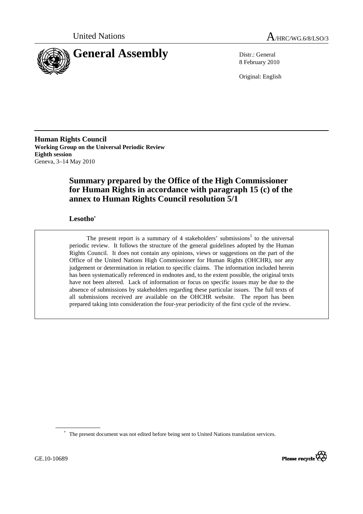



8 February 2010

Original: English

**Human Rights Council Working Group on the Universal Periodic Review Eighth session**  Geneva, 3–14 May 2010

# **Summary prepared by the Office of the High Commissioner for Human Rights in accordance with paragraph 15 (c) of the annex to Human Rights Council resolution 5/1**

# **Lesotho\***

The present report is a summary of 4 stakeholders' submissions<sup>1</sup> to the universal periodic review. It follows the structure of the general guidelines adopted by the Human Rights Council. It does not contain any opinions, views or suggestions on the part of the Office of the United Nations High Commissioner for Human Rights (OHCHR), nor any judgement or determination in relation to specific claims. The information included herein has been systematically referenced in endnotes and, to the extent possible, the original texts have not been altered. Lack of information or focus on specific issues may be due to the absence of submissions by stakeholders regarding these particular issues. The full texts of all submissions received are available on the OHCHR website. The report has been prepared taking into consideration the four-year periodicity of the first cycle of the review.



<sup>\*</sup> The present document was not edited before being sent to United Nations translation services.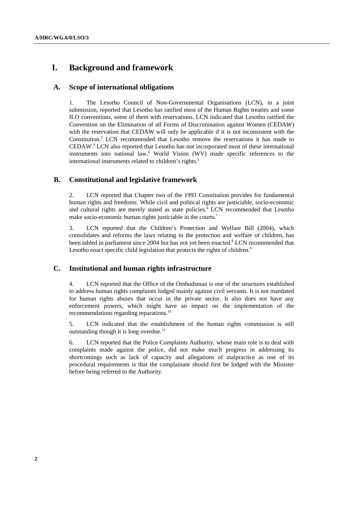# **I. Background and framework**

## **A. Scope of international obligations**

1. The Lesotho Council of Non-Governmental Organisations (LCN), in a joint submission, reported that Lesotho has ratified most of the Human Rights treaties and some ILO conventions, some of them with reservations. LCN indicated that Lesotho ratified the Convention on the Elimination of all Forms of Discrimination against Women (CEDAW) with the reservation that CEDAW will only be applicable if it is not inconsistent with the Constitution.<sup>2</sup> LCN recommended that Lesotho remove the reservations it has made to CEDAW.3 LCN also reported that Lesotho has not incorporated most of these international instruments into national law.<sup>4</sup> World Vision (WV) made specific references to the international instruments related to children's rights.<sup>5</sup>

# **B. Constitutional and legislative framework**

2. LCN reported that Chapter two of the 1993 Constitution provides for fundamental human rights and freedoms. While civil and political rights are justiciable, socio-economic and cultural rights are merely stated as state policies.<sup>6</sup> LCN recommended that Lesotho make socio-economic human rights justiciable in the courts.<sup>7</sup>

3. LCN reported that the Children's Protection and Welfare Bill (2004), which consolidates and reforms the laws relating to the protection and welfare of children, has been tabled in parliament since 2004 but has not yet been enacted.<sup>8</sup> LCN recommended that Lesotho enact specific child legislation that protects the rights of children.<sup>9</sup>

### **C. Institutional and human rights infrastructure**

4. LCN reported that the Office of the Ombudsman is one of the structures established to address human rights complaints lodged mainly against civil servants. It is not mandated for human rights abuses that occur in the private sector. It also does not have any enforcement powers, which might have an impact on the implementation of the recommendations regarding reparations.10

5. LCN indicated that the establishment of the human rights commission is still outstanding though it is long overdue.<sup>11</sup>

6. LCN reported that the Police Complaints Authority, whose main role is to deal with complaints made against the police, did not make much progress in addressing its shortcomings such as lack of capacity and allegations of malpractice as one of its procedural requirements is that the complainant should first be lodged with the Minister before being referred to the Authority.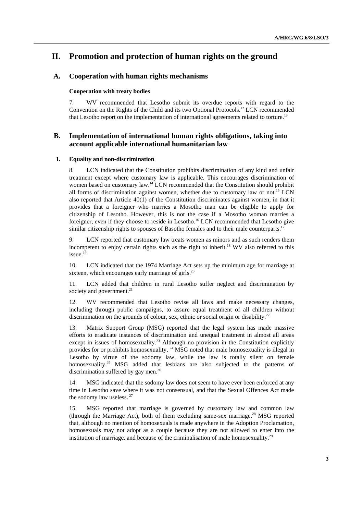# **II. Promotion and protection of human rights on the ground**

# **A. Cooperation with human rights mechanisms**

#### **Cooperation with treaty bodies**

7. WV recommended that Lesotho submit its overdue reports with regard to the Convention on the Rights of the Child and its two Optional Protocols.<sup>12</sup> LCN recommended that Lesotho report on the implementation of international agreements related to torture.<sup>13</sup>

## **B. Implementation of international human rights obligations, taking into account applicable international humanitarian law**

#### **1. Equality and non-discrimination**

8. LCN indicated that the Constitution prohibits discrimination of any kind and unfair treatment except where customary law is applicable. This encourages discrimination of women based on customary law.14 LCN recommended that the Constitution should prohibit all forms of discrimination against women, whether due to customary law or not.<sup>15</sup> LCN also reported that Article 40(1) of the Constitution discriminates against women, in that it provides that a foreigner who marries a Mosotho man can be eligible to apply for citizenship of Lesotho. However, this is not the case if a Mosotho woman marries a foreigner, even if they choose to reside in Lesotho.<sup>16</sup> LCN recommended that Lesotho give similar citizenship rights to spouses of Basotho females and to their male counterparts.<sup>1</sup>

9. LCN reported that customary law treats women as minors and as such renders them incompetent to enjoy certain rights such as the right to inherit.<sup>18</sup> WV also referred to this issue.<sup>19</sup>

10. LCN indicated that the 1974 Marriage Act sets up the minimum age for marriage at sixteen, which encourages early marriage of girls.<sup>20</sup>

11. LCN added that children in rural Lesotho suffer neglect and discrimination by society and government.<sup>21</sup>

12. WV recommended that Lesotho revise all laws and make necessary changes, including through public campaigns, to assure equal treatment of all children without discrimination on the grounds of colour, sex, ethnic or social origin or disability.<sup>22</sup>

13. Matrix Support Group (MSG) reported that the legal system has made massive efforts to eradicate instances of discrimination and unequal treatment in almost all areas except in issues of homosexuality.<sup>23</sup> Although no provision in the Constitution explicitly provides for or prohibits homosexuality, <sup>24</sup> MSG noted that male homosexuality is illegal in Lesotho by virtue of the sodomy law, while the law is totally silent on female homosexuality.<sup>25</sup> MSG added that lesbians are also subjected to the patterns of discrimination suffered by gay men.<sup>26</sup>

14. MSG indicated that the sodomy law does not seem to have ever been enforced at any time in Lesotho save where it was not consensual, and that the Sexual Offences Act made the sodomy law useless.<sup>27</sup>

15. MSG reported that marriage is governed by customary law and common law (through the Marriage Act), both of them excluding same-sex marriage.28 MSG reported that, although no mention of homosexuals is made anywhere in the Adoption Proclamation, homosexuals may not adopt as a couple because they are not allowed to enter into the institution of marriage, and because of the criminalisation of male homosexuality.<sup>29</sup>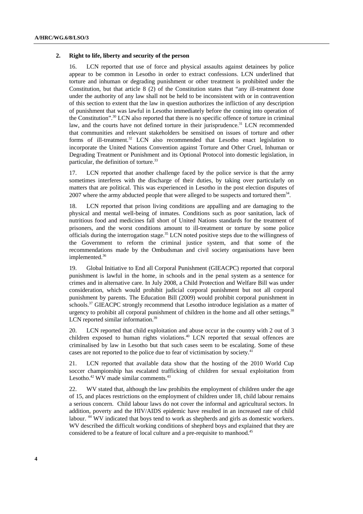#### **2. Right to life, liberty and security of the person**

LCN reported that use of force and physical assaults against detainees by police appear to be common in Lesotho in order to extract confessions. LCN underlined that torture and inhuman or degrading punishment or other treatment is prohibited under the Constitution, but that article 8 (2) of the Constitution states that "any ill-treatment done under the authority of any law shall not be held to be inconsistent with or in contravention of this section to extent that the law in question authorizes the infliction of any description of punishment that was lawful in Lesotho immediately before the coming into operation of the Constitution".30 LCN also reported that there is no specific offence of torture in criminal law, and the courts have not defined torture in their jurisprudence.<sup>31</sup> LCN recommended that communities and relevant stakeholders be sensitised on issues of torture and other forms of ill-treatment.<sup>32</sup> LCN also recommended that Lesotho enact legislation to incorporate the United Nations Convention against Torture and Other Cruel, Inhuman or Degrading Treatment or Punishment and its Optional Protocol into domestic legislation, in particular, the definition of torture.<sup>33</sup>

17. LCN reported that another challenge faced by the police service is that the army sometimes interferes with the discharge of their duties, by taking over particularly on matters that are political. This was experienced in Lesotho in the post election disputes of 2007 where the army abducted people that were alleged to be suspects and tortured them<sup>34</sup>.

18. LCN reported that prison living conditions are appalling and are damaging to the physical and mental well-being of inmates. Conditions such as poor sanitation, lack of nutritious food and medicines fall short of United Nations standards for the treatment of prisoners, and the worst conditions amount to ill-treatment or torture by some police officials during the interrogation stage.35 LCN noted positive steps due to the willingness of the Government to reform the criminal justice system, and that some of the recommendations made by the Ombudsman and civil society organisations have been implemented.<sup>36</sup>

19. Global Initiative to End all Corporal Punishment (GIEACPC) reported that corporal punishment is lawful in the home, in schools and in the penal system as a sentence for crimes and in alternative care. In July 2008, a Child Protection and Welfare Bill was under consideration, which would prohibit judicial corporal punishment but not all corporal punishment by parents. The Education Bill (2009) would prohibit corporal punishment in schools.<sup>37</sup> GIEACPC strongly recommend that Lesotho introduce legislation as a matter of urgency to prohibit all corporal punishment of children in the home and all other settings.<sup>38</sup> LCN reported similar information.<sup>39</sup>

20. LCN reported that child exploitation and abuse occur in the country with 2 out of 3 children exposed to human rights violations.<sup>40</sup> LCN reported that sexual offences are criminalised by law in Lesotho but that such cases seem to be escalating. Some of these cases are not reported to the police due to fear of victimisation by society.41

21. LCN reported that available data show that the hosting of the 2010 World Cup soccer championship has escalated trafficking of children for sexual exploitation from Lesotho.<sup>42</sup> WV made similar comments.<sup>43</sup>

22. WV stated that, although the law prohibits the employment of children under the age of 15, and places restrictions on the employment of children under 18, child labour remains a serious concern. Child labour laws do not cover the informal and agricultural sectors. In addition, poverty and the HIV/AIDS epidemic have resulted in an increased rate of child labour. 44 WV indicated that boys tend to work as shepherds and girls as domestic workers. WV described the difficult working conditions of shepherd boys and explained that they are considered to be a feature of local culture and a pre-requisite to manhood.45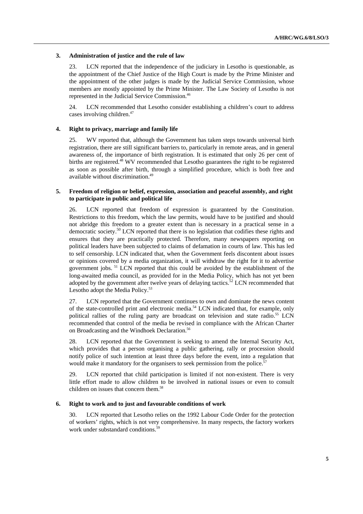#### **3. Administration of justice and the rule of law**

23. LCN reported that the independence of the judiciary in Lesotho is questionable, as the appointment of the Chief Justice of the High Court is made by the Prime Minister and the appointment of the other judges is made by the Judicial Service Commission, whose members are mostly appointed by the Prime Minister. The Law Society of Lesotho is not represented in the Judicial Service Commission.46

24. LCN recommended that Lesotho consider establishing a children's court to address cases involving children.47

#### **4. Right to privacy, marriage and family life**

25. WV reported that, although the Government has taken steps towards universal birth registration, there are still significant barriers to, particularly in remote areas, and in general awareness of, the importance of birth registration. It is estimated that only 26 per cent of births are registered.<sup>48</sup> WV recommended that Lesotho guarantees the right to be registered as soon as possible after birth, through a simplified procedure, which is both free and available without discrimination.49

#### **5. Freedom of religion or belief, expression, association and peaceful assembly, and right to participate in public and political life**

26. LCN reported that freedom of expression is guaranteed by the Constitution. Restrictions to this freedom, which the law permits, would have to be justified and should not abridge this freedom to a greater extent than is necessary in a practical sense in a democratic society.<sup>50</sup> LCN reported that there is no legislation that codifies these rights and ensures that they are practically protected. Therefore, many newspapers reporting on political leaders have been subjected to claims of defamation in courts of law. This has led to self censorship. LCN indicated that, when the Government feels discontent about issues or opinions covered by a media organization, it will withdraw the right for it to advertise government jobs. 51 LCN reported that this could be avoided by the establishment of the long-awaited media council, as provided for in the Media Policy, which has not yet been adopted by the government after twelve years of delaying tactics.<sup>52</sup> LCN recommended that Lesotho adopt the Media Policy.<sup>53</sup>

27. LCN reported that the Government continues to own and dominate the news content of the state-controlled print and electronic media.<sup>54</sup> LCN indicated that, for example, only political rallies of the ruling party are broadcast on television and state radio.<sup>55</sup> LCN recommended that control of the media be revised in compliance with the African Charter on Broadcasting and the Windhoek Declaration.<sup>56</sup>

28. LCN reported that the Government is seeking to amend the Internal Security Act, which provides that a person organising a public gathering, rally or procession should notify police of such intention at least three days before the event, into a regulation that would make it mandatory for the organisers to seek permission from the police.<sup>57</sup>

29. LCN reported that child participation is limited if not non-existent. There is very little effort made to allow children to be involved in national issues or even to consult children on issues that concern them.<sup>58</sup>

#### **6. Right to work and to just and favourable conditions of work**

30. LCN reported that Lesotho relies on the 1992 Labour Code Order for the protection of workers' rights, which is not very comprehensive. In many respects, the factory workers work under substandard conditions.<sup>59</sup>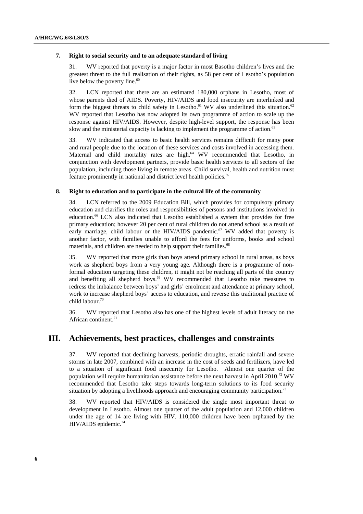#### **7. Right to social security and to an adequate standard of living**

31. WV reported that poverty is a major factor in most Basotho children's lives and the greatest threat to the full realisation of their rights, as 58 per cent of Lesotho's population live below the poverty line.<sup>60</sup>

32. LCN reported that there are an estimated 180,000 orphans in Lesotho, most of whose parents died of AIDS. Poverty, HIV/AIDS and food insecurity are interlinked and form the biggest threats to child safety in Lesotho.<sup>61</sup> WV also underlined this situation.<sup>62</sup> WV reported that Lesotho has now adopted its own programme of action to scale up the response against HIV/AIDS. However, despite high-level support, the response has been slow and the ministerial capacity is lacking to implement the programme of action.<sup>63</sup>

33. WV indicated that access to basic health services remains difficult for many poor and rural people due to the location of these services and costs involved in accessing them. Maternal and child mortality rates are high.<sup>64</sup> WV recommended that Lesotho, in conjunction with development partners, provide basic health services to all sectors of the population, including those living in remote areas. Child survival, health and nutrition must feature prominently in national and district level health policies.<sup>65</sup>

#### **8. Right to education and to participate in the cultural life of the community**

34. LCN referred to the 2009 Education Bill, which provides for compulsory primary education and clarifies the roles and responsibilities of persons and institutions involved in education.<sup>66</sup> LCN also indicated that Lesotho established a system that provides for free primary education; however 20 per cent of rural children do not attend school as a result of early marriage, child labour or the HIV/AIDS pandemic.<sup>67</sup> WV added that poverty is another factor, with families unable to afford the fees for uniforms, books and school materials, and children are needed to help support their families.<sup>68</sup>

35. WV reported that more girls than boys attend primary school in rural areas, as boys work as shepherd boys from a very young age. Although there is a programme of nonformal education targeting these children, it might not be reaching all parts of the country and benefiting all shepherd boys. $69$  WV recommended that Lesotho take measures to redress the imbalance between boys' and girls' enrolment and attendance at primary school, work to increase shepherd boys' access to education, and reverse this traditional practice of child labour.<sup>70</sup>

36. WV reported that Lesotho also has one of the highest levels of adult literacy on the African continent.<sup>71</sup>

# **III. Achievements, best practices, challenges and constraints**

37. WV reported that declining harvests, periodic droughts, erratic rainfall and severe storms in late 2007, combined with an increase in the cost of seeds and fertilizers, have led to a situation of significant food insecurity for Lesotho. Almost one quarter of the population will require humanitarian assistance before the next harvest in April 2010.72 WV recommended that Lesotho take steps towards long-term solutions to its food security situation by adopting a livelihoods approach and encouraging community participation.<sup>73</sup>

38. WV reported that HIV/AIDS is considered the single most important threat to development in Lesotho. Almost one quarter of the adult population and 12,000 children under the age of 14 are living with HIV. 110,000 children have been orphaned by the HIV/AIDS epidemic.<sup>74</sup>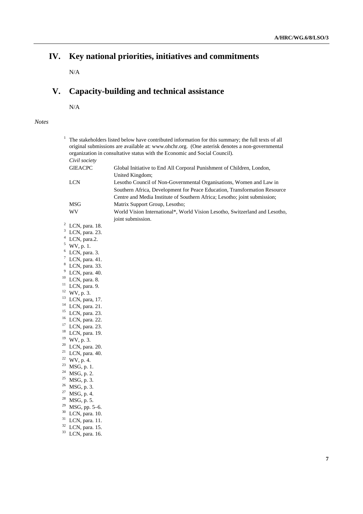# **IV. Key national priorities, initiatives and commitments**

N/A

# **V. Capacity-building and technical assistance**

N/A

### *Notes*

| 1                        | The stakeholders listed below have contributed information for this summary; the full texts of all<br>original submissions are available at: www.ohchr.org. (One asterisk denotes a non-governmental<br>organization in consultative status with the Economic and Social Council). |                                                                                                                                                                                                                               |
|--------------------------|------------------------------------------------------------------------------------------------------------------------------------------------------------------------------------------------------------------------------------------------------------------------------------|-------------------------------------------------------------------------------------------------------------------------------------------------------------------------------------------------------------------------------|
|                          | Civil society                                                                                                                                                                                                                                                                      |                                                                                                                                                                                                                               |
|                          | <b>GIEACPC</b>                                                                                                                                                                                                                                                                     | Global Initiative to End All Corporal Punishment of Children, London,<br>United Kingdom;                                                                                                                                      |
|                          | <b>LCN</b>                                                                                                                                                                                                                                                                         | Lesotho Council of Non-Governmental Organisations, Women and Law in<br>Southern Africa, Development for Peace Education, Transformation Resource<br>Centre and Media Institute of Southern Africa; Lesotho; joint submission; |
|                          | <b>MSG</b>                                                                                                                                                                                                                                                                         | Matrix Support Group, Lesotho;                                                                                                                                                                                                |
|                          | WV                                                                                                                                                                                                                                                                                 | World Vision International*, World Vision Lesotho, Switzerland and Lesotho,<br>joint submission.                                                                                                                              |
| 2                        | LCN, para. 18.                                                                                                                                                                                                                                                                     |                                                                                                                                                                                                                               |
| 3                        | LCN, para. 23.                                                                                                                                                                                                                                                                     |                                                                                                                                                                                                                               |
| $\overline{\mathcal{A}}$ | LCN, para.2.                                                                                                                                                                                                                                                                       |                                                                                                                                                                                                                               |
| 5                        | WV, p. 1.                                                                                                                                                                                                                                                                          |                                                                                                                                                                                                                               |
| 6                        | LCN, para. 3.                                                                                                                                                                                                                                                                      |                                                                                                                                                                                                                               |
| 7                        | LCN, para. 41.                                                                                                                                                                                                                                                                     |                                                                                                                                                                                                                               |
| 8                        | LCN, para. 33.                                                                                                                                                                                                                                                                     |                                                                                                                                                                                                                               |
| $\boldsymbol{9}$         | LCN, para. 40.                                                                                                                                                                                                                                                                     |                                                                                                                                                                                                                               |
| 10                       | LCN, para. 8.                                                                                                                                                                                                                                                                      |                                                                                                                                                                                                                               |
| 11                       | LCN, para. 9.                                                                                                                                                                                                                                                                      |                                                                                                                                                                                                                               |
|                          | $12$ WV, p. 3.                                                                                                                                                                                                                                                                     |                                                                                                                                                                                                                               |
|                          | $13$ LCN, para, 17.                                                                                                                                                                                                                                                                |                                                                                                                                                                                                                               |
| 14                       | LCN, para. 21.                                                                                                                                                                                                                                                                     |                                                                                                                                                                                                                               |
| 15                       | LCN, para. 23.                                                                                                                                                                                                                                                                     |                                                                                                                                                                                                                               |
|                          | <sup>16</sup> LCN, para. 22.                                                                                                                                                                                                                                                       |                                                                                                                                                                                                                               |
| 17                       | LCN, para. 23.                                                                                                                                                                                                                                                                     |                                                                                                                                                                                                                               |
|                          | <sup>18</sup> LCN, para. 19.                                                                                                                                                                                                                                                       |                                                                                                                                                                                                                               |
|                          | $19$ WV, p. 3.                                                                                                                                                                                                                                                                     |                                                                                                                                                                                                                               |
| 20                       | LCN, para. 20.                                                                                                                                                                                                                                                                     |                                                                                                                                                                                                                               |
|                          | $21$ LCN, para. 40.                                                                                                                                                                                                                                                                |                                                                                                                                                                                                                               |
| 23                       | $22$ WV, p. 4.                                                                                                                                                                                                                                                                     |                                                                                                                                                                                                                               |
|                          | MSG, p. 1.                                                                                                                                                                                                                                                                         |                                                                                                                                                                                                                               |
|                          | $24$ MSG, p. 2.<br>$25$ MSG, p. 3.                                                                                                                                                                                                                                                 |                                                                                                                                                                                                                               |
| 26                       | MSG, p. 3.                                                                                                                                                                                                                                                                         |                                                                                                                                                                                                                               |
| 27                       | MSG, p. 4.                                                                                                                                                                                                                                                                         |                                                                                                                                                                                                                               |
| 28                       | MSG, p. 5.                                                                                                                                                                                                                                                                         |                                                                                                                                                                                                                               |
| 29                       | MSG, pp. 5-6.                                                                                                                                                                                                                                                                      |                                                                                                                                                                                                                               |
| 30                       | LCN, para. 10.                                                                                                                                                                                                                                                                     |                                                                                                                                                                                                                               |
| 31                       | LCN, para. 11.                                                                                                                                                                                                                                                                     |                                                                                                                                                                                                                               |
| 32                       | LCN, para. 15.                                                                                                                                                                                                                                                                     |                                                                                                                                                                                                                               |
| 33                       | LCN, para. 16.                                                                                                                                                                                                                                                                     |                                                                                                                                                                                                                               |
|                          |                                                                                                                                                                                                                                                                                    |                                                                                                                                                                                                                               |